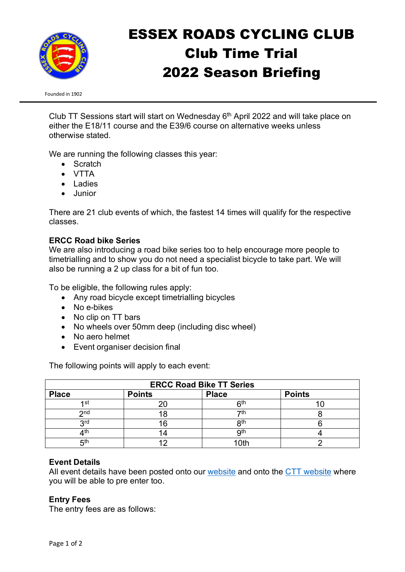

# ESSEX ROADS CYCLING CLUB Club Time Trial 2022 Season Briefing

Founded in 1902

Club TT Sessions start will start on Wednesday  $6<sup>th</sup>$  April 2022 and will take place on either the E18/11 course and the E39/6 course on alternative weeks unless otherwise stated.

We are running the following classes this year:

- Scratch
- VTTA
- Ladies
- Junior

There are 21 club events of which, the fastest 14 times will qualify for the respective classes.

## **ERCC Road bike Series**

We are also introducing a road bike series too to help encourage more people to timetrialling and to show you do not need a specialist bicycle to take part. We will also be running a 2 up class for a bit of fun too.

To be eligible, the following rules apply:

- Any road bicycle except timetrialling bicycles
- No e-bikes
- No clip on TT bars
- No wheels over 50mm deep (including disc wheel)
- No aero helmet
- Event organiser decision final

The following points will apply to each event:

| <b>ERCC Road Bike TT Series</b> |               |                 |               |
|---------------------------------|---------------|-----------------|---------------|
| <b>Place</b>                    | <b>Points</b> | <b>Place</b>    | <b>Points</b> |
| 1st                             |               | հth             |               |
| 2n <sub>d</sub>                 | 18            | 7th             |               |
| <b>Qrd</b><br>J                 | 16            | 8 <sup>th</sup> |               |
| ∕lth                            | ۱4            | <b>gth</b>      |               |
| 5 <sup>th</sup>                 |               | 10th            |               |

## **Event Details**

All event details have been posted onto our [website](http://www.essexroads.com/events/) and onto the [CTT website](https://www.cyclingtimetrials.org.uk/club-events?club_id=609&district_id=5&fbclid=IwAR1yYZRioxISSiG0F6S-WfwZGurO117bX9OJLzUsKsLmQgiK0gJ7zF89cNI) where you will be able to pre enter too.

## **Entry Fees**

The entry fees are as follows: